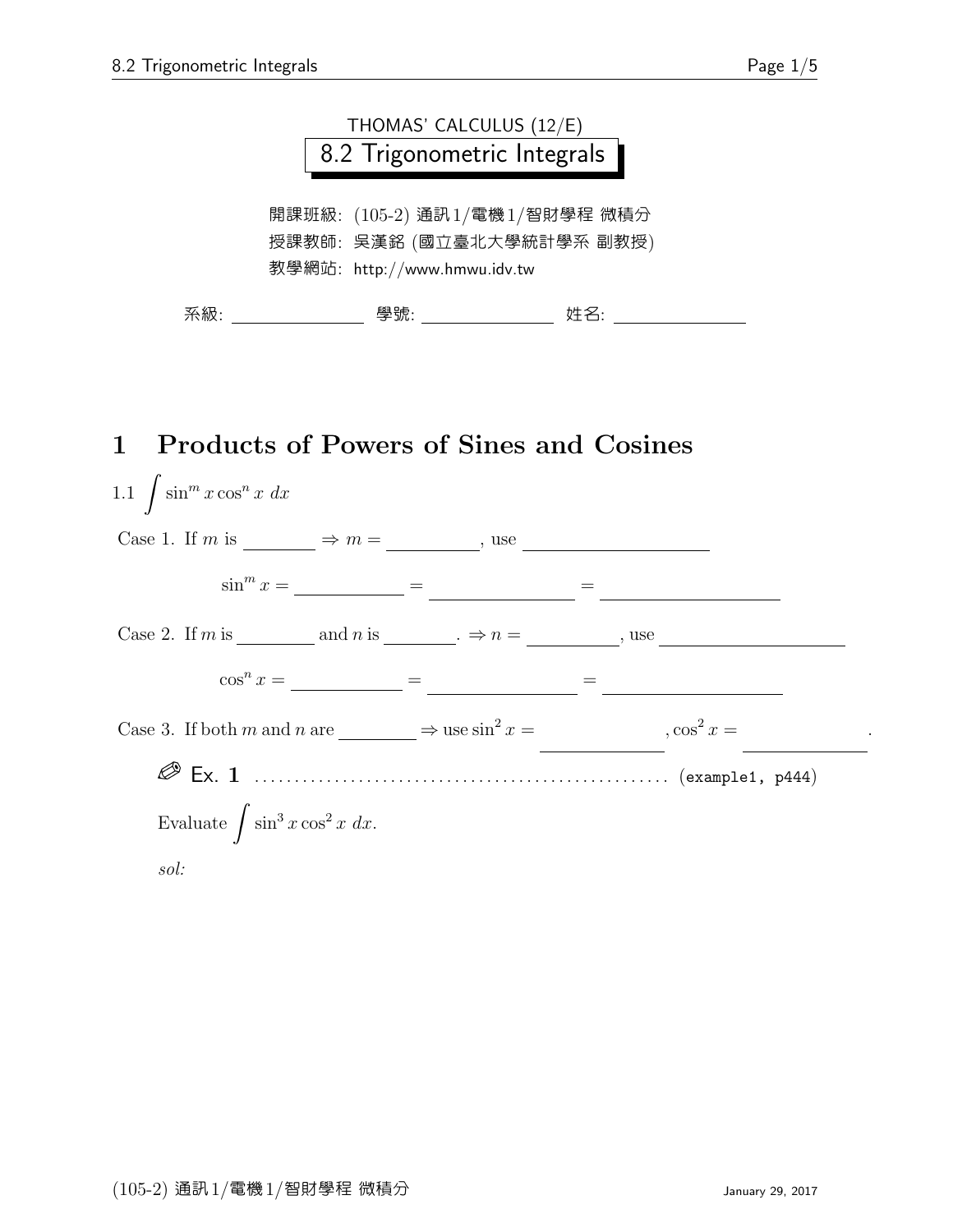

### 1 Products of Powers of Sines and Cosines

| 1.1 $\int \sin^m x \cos^n x dx$                                           |     |
|---------------------------------------------------------------------------|-----|
| Case 1. If m is $\longrightarrow$ m = $\longrightarrow$ , use             |     |
|                                                                           |     |
| Case 2. If m is _________ and n is _______. $\Rightarrow n =$ ______, use |     |
| $\cos^n x =$ =                                                            | $=$ |
| Case 3. If both m and n are $\Rightarrow$ use $\sin^2 x =$ , $\cos^2 x =$ |     |
|                                                                           |     |
| Evaluate $\int \sin^3 x \cos^2 x \ dx$ .                                  |     |
| $\mathfrak{sol}$ :                                                        |     |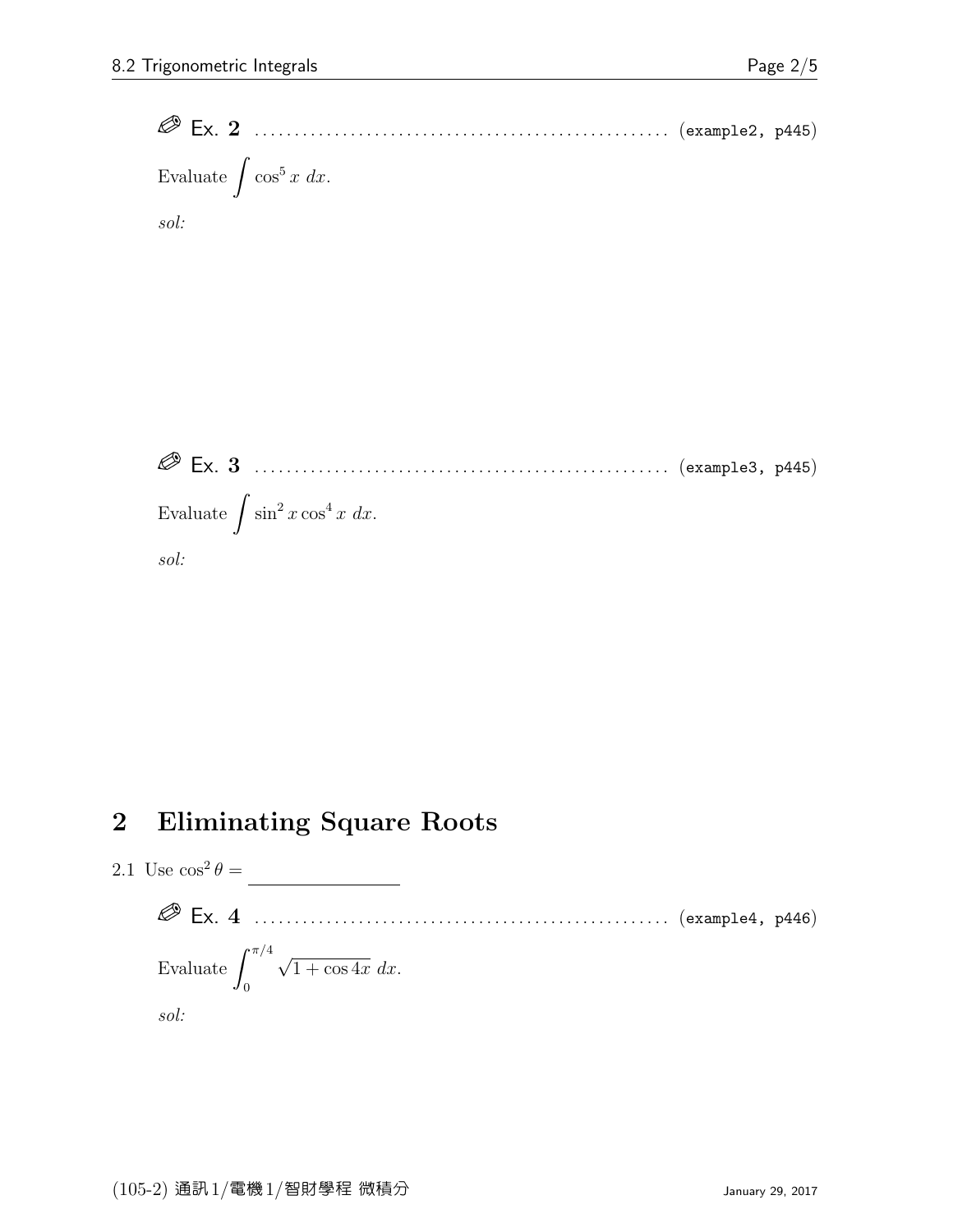Ex. 2 . . . . . . . . . . . . . . . . . . . . . . . . . . . . . . . . . . . . . . . . . . . . . . . . . . . . (example2, p445) Evaluate  $\int \cos^5 x \ dx$ . sol:

 Ex. 3 . . . . . . . . . . . . . . . . . . . . . . . . . . . . . . . . . . . . . . . . . . . . . . . . . . . . (example3, p445) Evaluate  $\int \sin^2 x \cos^4 x \ dx$ . sol:

#### 2 Eliminating Square Roots

2.1 Use  $\cos^2\theta =$ 

 Ex. 4 . . . . . . . . . . . . . . . . . . . . . . . . . . . . . . . . . . . . . . . . . . . . . . . . . . . . (example4, p446) Evaluate  $\int^{\pi/4}$ 0 √  $1 + \cos 4x \, dx$ . sol: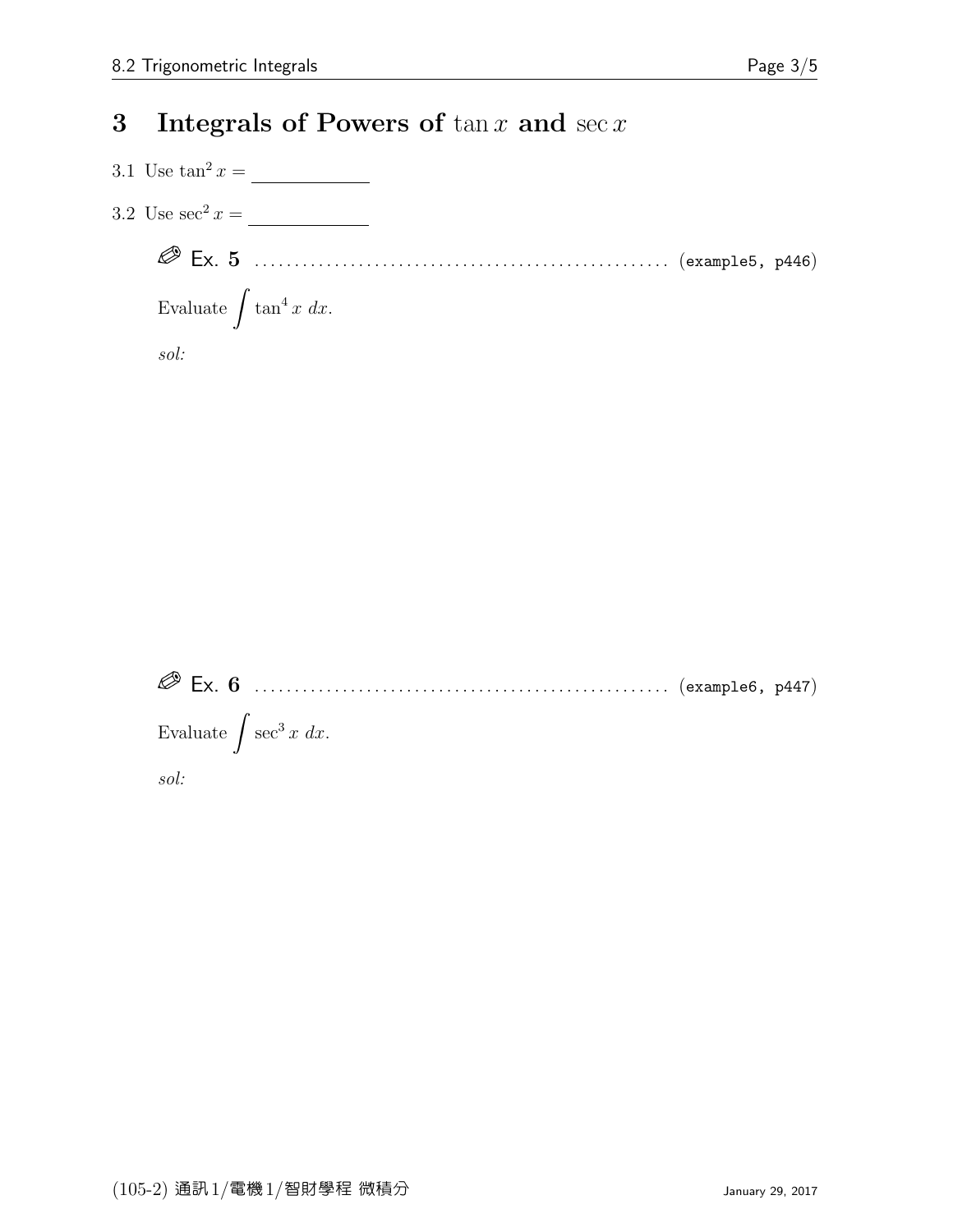#### 3 Integrals of Powers of  $\tan x$  and  $\sec x$

3.1 Use  $\tan^2 x =$ 

3.2 Use  $\sec^2 x = \underline{\hspace{2cm}}$ 

 Ex. 5 . . . . . . . . . . . . . . . . . . . . . . . . . . . . . . . . . . . . . . . . . . . . . . . . . . . . (example5, p446) Evaluate  $\int \tan^4 x \ dx$ .

sol:

 Ex. 6 . . . . . . . . . . . . . . . . . . . . . . . . . . . . . . . . . . . . . . . . . . . . . . . . . . . . (example6, p447) Evaluate  $\int \sec^3 x \ dx$ . sol: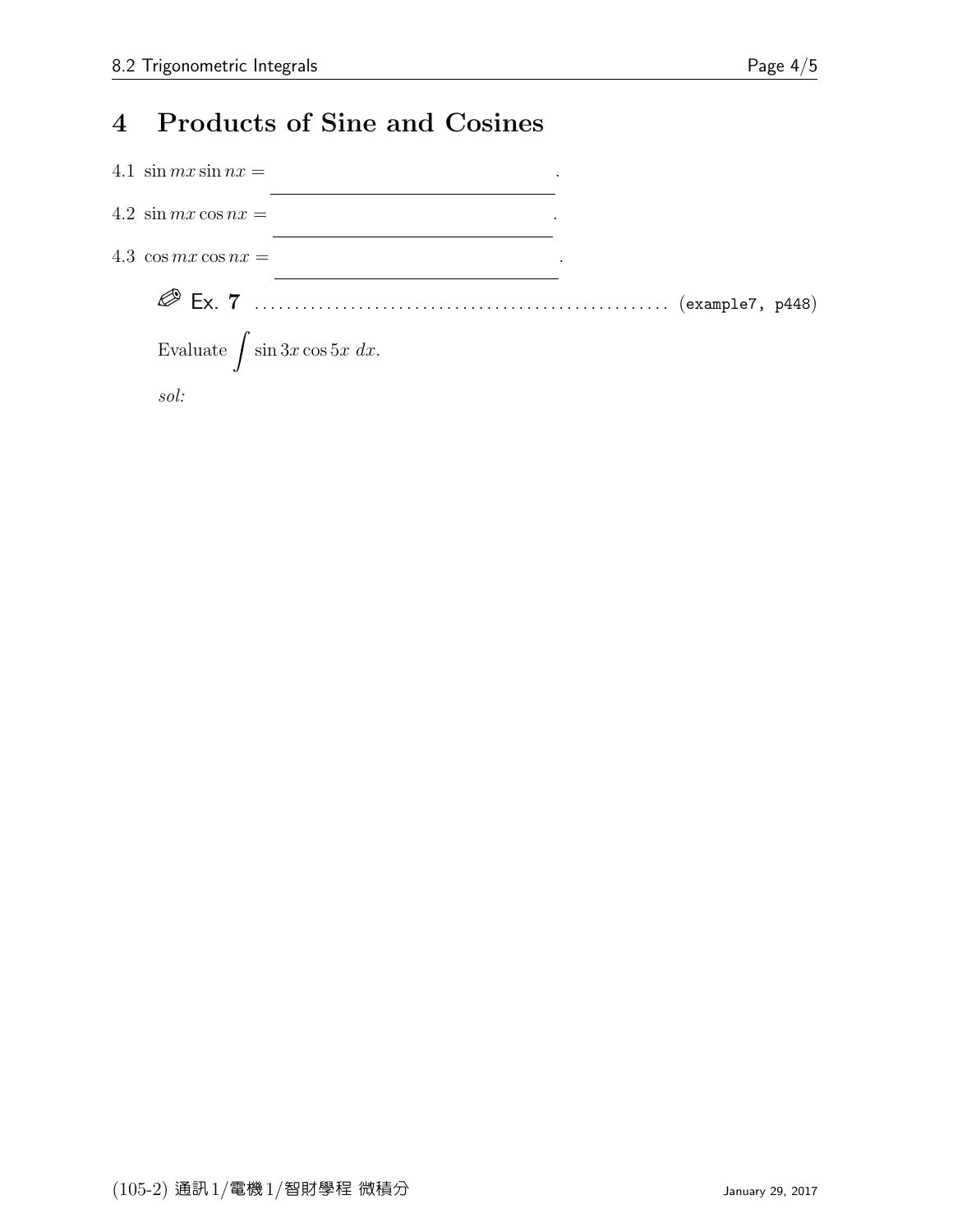## 4 Products of Sine and Cosines

| 4.1 $\sin mx \sin nx =$                |  |  |
|----------------------------------------|--|--|
| 4.2 $\sin mx \cos nx =$                |  |  |
| 4.3 $\cos mx \cos nx =$                |  |  |
|                                        |  |  |
| Evaluate $\int \sin 3x \cos 5x \ dx$ . |  |  |
| $\mathfrak{sol}$ :                     |  |  |